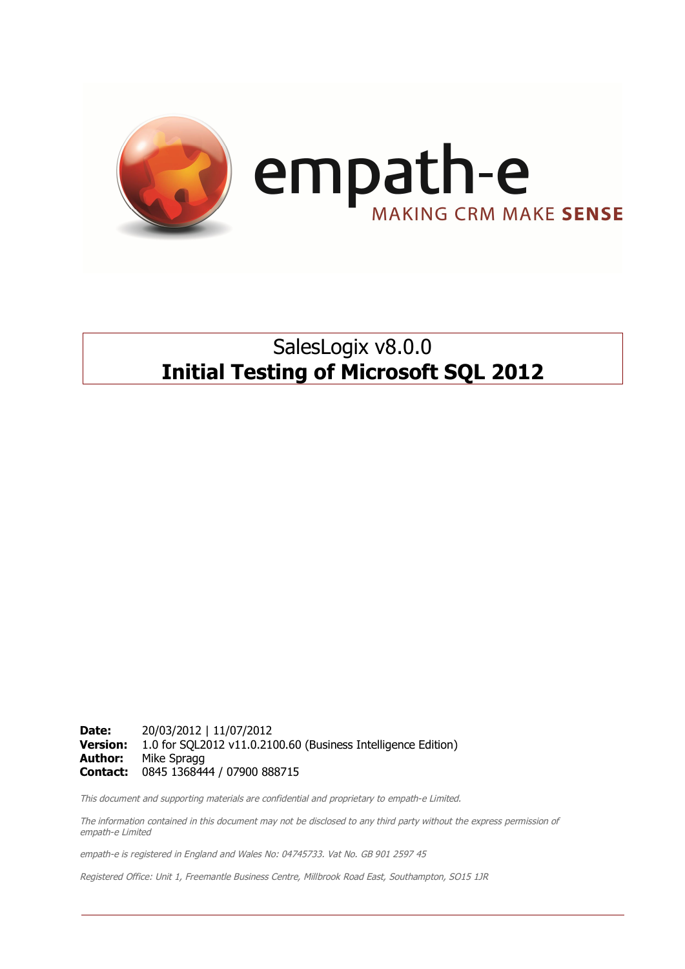

## SalesLogix v8.0.0 **Initial Testing of Microsoft SQL 2012**

**Date:** 20/03/2012 | 11/07/2012 **Version:** 1.0 for SQL2012 v11.0.2100.60 (Business Intelligence Edition) **Author:** Mike Spragg **Contact:** 0845 1368444 / 07900 888715

This document and supporting materials are confidential and proprietary to empath-e Limited.

The information contained in this document may not be disclosed to any third party without the express permission of empath-e Limited

empath-e is registered in England and Wales No: 04745733. Vat No. GB 901 2597 45

Registered Office: Unit 1, Freemantle Business Centre, Millbrook Road East, Southampton, SO15 1JR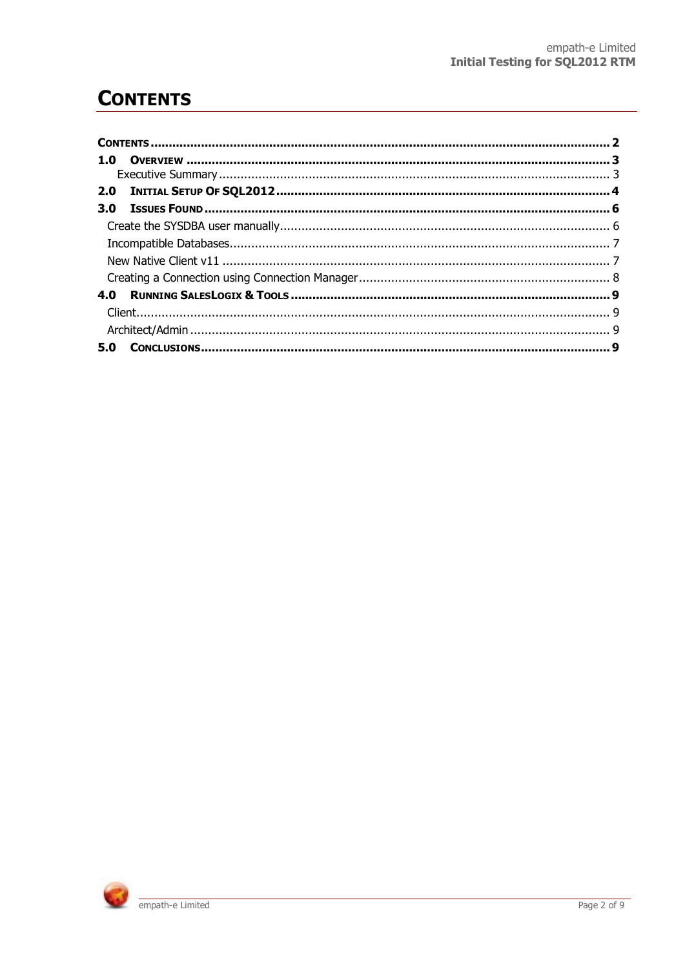# **CONTENTS**

| 1.0 |  |
|-----|--|
|     |  |
|     |  |
| 3.0 |  |
|     |  |
|     |  |
|     |  |
|     |  |
| 4.0 |  |
|     |  |
|     |  |
| 5.0 |  |

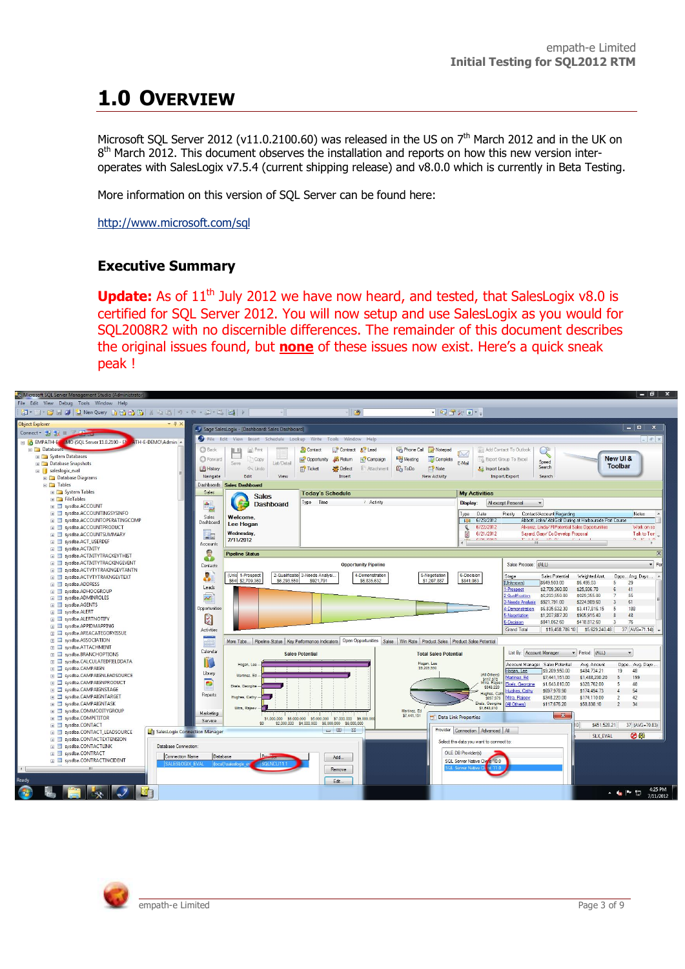# **1.0 OVERVIEW**

Microsoft SQL Server 2012 (v11.0.2100.60) was released in the US on  $7<sup>th</sup>$  March 2012 and in the UK on 8<sup>th</sup> March 2012. This document observes the installation and reports on how this new version interoperates with SalesLogix v7.5.4 (current shipping release) and v8.0.0 which is currently in Beta Testing.

More information on this version of SQL Server can be found here:

http://www.microsoft.com/sql

#### **Executive Summary**

**Update:** As of 11<sup>th</sup> July 2012 we have now heard, and tested, that SalesLogix v8.0 is certified for SQL Server 2012. You will now setup and use SalesLogix as you would for SQL2008R2 with no discernible differences. The remainder of this document describes the original issues found, but **none** of these issues now exist. Here's a quick sneak peak !



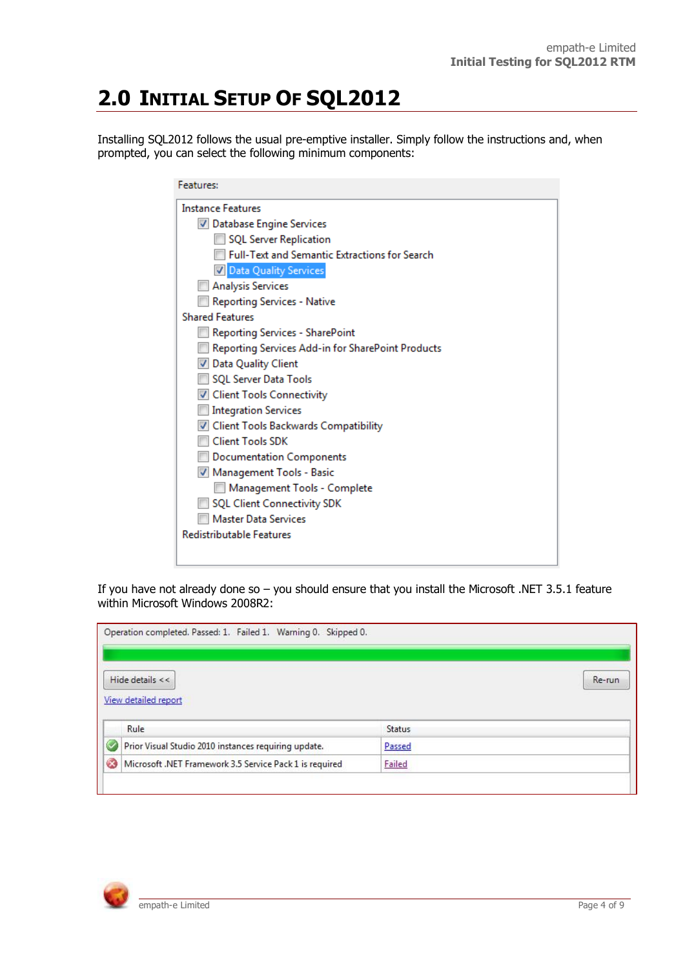# **2.0 INITIAL SETUP OF SQL2012**

Installing SQL2012 follows the usual pre-emptive installer. Simply follow the instructions and, when prompted, you can select the following minimum components:

| <b>Instance Features</b>           |                                                      |  |
|------------------------------------|------------------------------------------------------|--|
| Database Engine Services           |                                                      |  |
| SQL Server Replication             |                                                      |  |
|                                    | <b>Full-Text and Semantic Extractions for Search</b> |  |
| Data Quality Services              |                                                      |  |
| <b>Analysis Services</b>           |                                                      |  |
| <b>Reporting Services - Native</b> |                                                      |  |
| <b>Shared Features</b>             |                                                      |  |
| Reporting Services - SharePoint    |                                                      |  |
|                                    | Reporting Services Add-in for SharePoint Products    |  |
| V Data Quality Client              |                                                      |  |
| SQL Server Data Tools              |                                                      |  |
| V Client Tools Connectivity        |                                                      |  |
| <b>Integration Services</b>        |                                                      |  |
|                                    | Client Tools Backwards Compatibility                 |  |
| <b>Client Tools SDK</b>            |                                                      |  |
| <b>Documentation Components</b>    |                                                      |  |
| Management Tools - Basic           |                                                      |  |
|                                    | Management Tools - Complete                          |  |
| <b>SQL Client Connectivity SDK</b> |                                                      |  |
| <b>Master Data Services</b>        |                                                      |  |
| <b>Redistributable Features</b>    |                                                      |  |

If you have not already done so – you should ensure that you install the Microsoft .NET 3.5.1 feature within Microsoft Windows 2008R2:

| Operation completed. Passed: 1. Failed 1. Warning 0. Skipped 0. |        |
|-----------------------------------------------------------------|--------|
| Hide details $<<$                                               | Re-run |
| View detailed report                                            |        |
| Rule                                                            | Status |
| Prior Visual Studio 2010 instances requiring update.            | Passed |

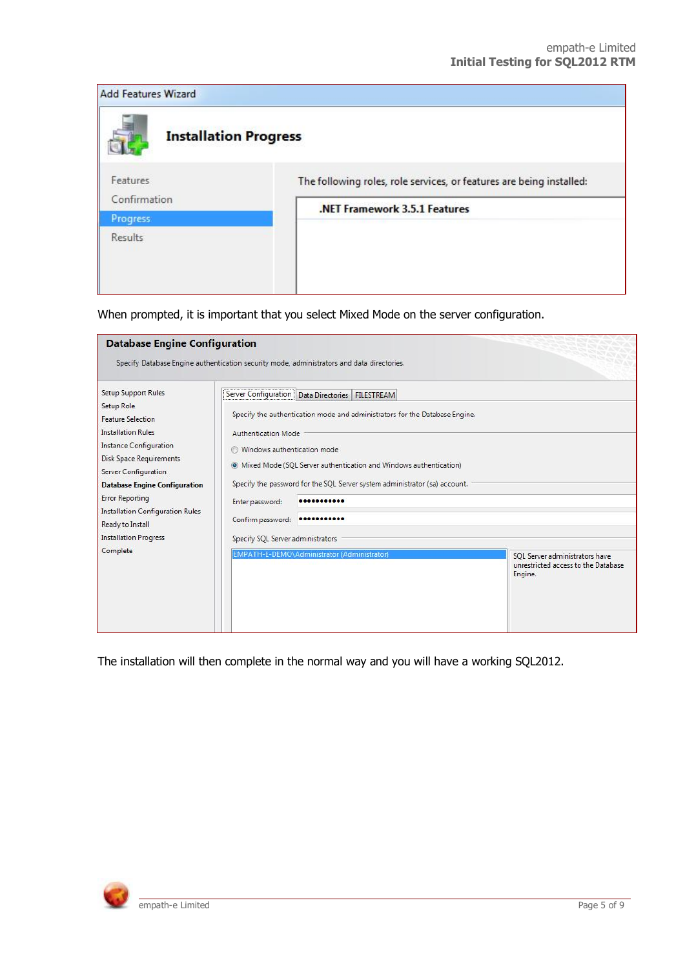| <b>Add Features Wizard</b>   |                                                                      |
|------------------------------|----------------------------------------------------------------------|
| <b>Installation Progress</b> |                                                                      |
| Features<br>Confirmation     | The following roles, role services, or features are being installed: |
| <b>Progress</b>              | .NET Framework 3.5.1 Features                                        |
| <b>Results</b>               |                                                                      |
|                              |                                                                      |

When prompted, it is important that you select Mixed Mode on the server configuration.

| <b>Database Engine Configuration</b>                                                                                                                                                                                                                                                                                                                                      |                                                                                                                                                                                                                                                                                                                                                                                                                                                                                   |  |  |                                                                                  |
|---------------------------------------------------------------------------------------------------------------------------------------------------------------------------------------------------------------------------------------------------------------------------------------------------------------------------------------------------------------------------|-----------------------------------------------------------------------------------------------------------------------------------------------------------------------------------------------------------------------------------------------------------------------------------------------------------------------------------------------------------------------------------------------------------------------------------------------------------------------------------|--|--|----------------------------------------------------------------------------------|
| Specify Database Engine authentication security mode, administrators and data directories.                                                                                                                                                                                                                                                                                |                                                                                                                                                                                                                                                                                                                                                                                                                                                                                   |  |  |                                                                                  |
| Setup Support Rules<br><b>Setup Role</b><br><b>Feature Selection</b><br><b>Installation Rules</b><br><b>Instance Configuration</b><br><b>Disk Space Requirements</b><br>Server Configuration<br><b>Database Engine Configuration</b><br><b>Error Reporting</b><br><b>Installation Configuration Rules</b><br>Ready to Install<br><b>Installation Progress</b><br>Complete | Server Configuration   Data Directories   FILESTREAM<br>Specify the authentication mode and administrators for the Database Engine.<br><b>Authentication Mode</b><br>Windows authentication mode<br>• Mixed Mode (SQL Server authentication and Windows authentication)<br>Specify the password for the SQL Server system administrator (sa) account.<br>Enter password:<br>Confirm password:<br>Specify SQL Server administrators<br>EMPATH-E-DEMO\Administrator (Administrator) |  |  | SOL Server administrators have<br>unrestricted access to the Database<br>Engine. |

The installation will then complete in the normal way and you will have a working SQL2012.

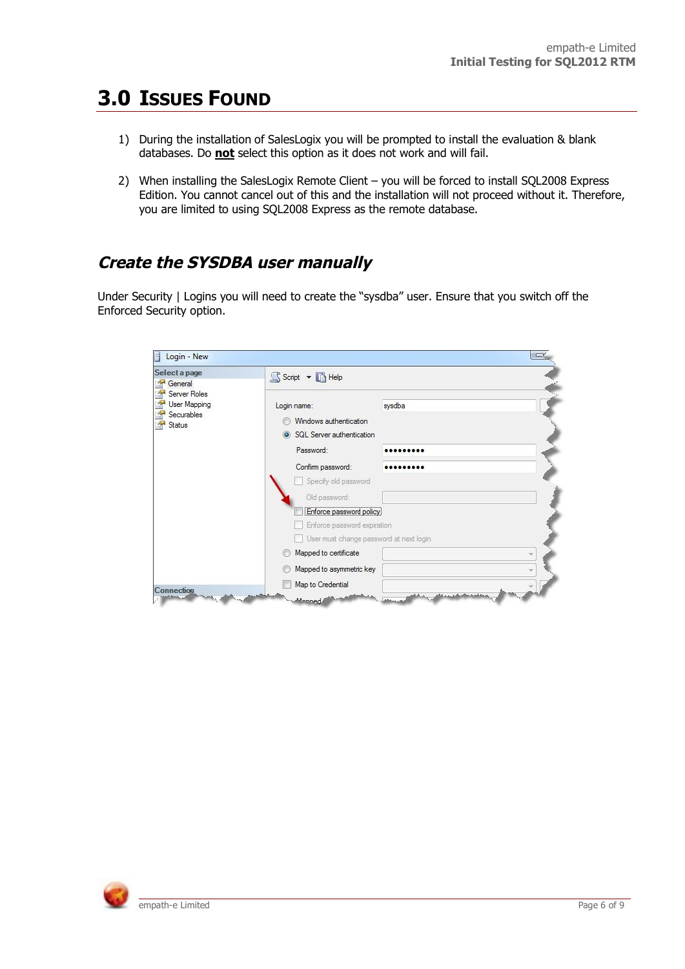### **3.0 ISSUES FOUND**

- 1) During the installation of SalesLogix you will be prompted to install the evaluation & blank databases. Do **not** select this option as it does not work and will fail.
- 2) When installing the SalesLogix Remote Client you will be forced to install SQL2008 Express Edition. You cannot cancel out of this and the installation will not proceed without it. Therefore, you are limited to using SQL2008 Express as the remote database.

#### **Create the SYSDBA user manually**

Under Security | Logins you will need to create the "sysdba" user. Ensure that you switch off the Enforced Security option.

| Select a page                                                                                                         | Script v B Help                                                               |        |  |
|-----------------------------------------------------------------------------------------------------------------------|-------------------------------------------------------------------------------|--------|--|
| General<br><b>A</b><br>Server Roles<br><b>A</b><br>User Mapping<br><b>A</b><br>Securables<br>$\mathbb{R}^2$<br>Status | Login name:<br>Windows authentication<br>SQL Server authentication<br>$\odot$ | sysdba |  |
|                                                                                                                       | Password:                                                                     |        |  |
|                                                                                                                       | Confirm password:                                                             |        |  |
|                                                                                                                       | Specify old password                                                          |        |  |
|                                                                                                                       | Old password:                                                                 |        |  |
|                                                                                                                       | Enforce password policy                                                       |        |  |
|                                                                                                                       | Enforce password expiration                                                   |        |  |
|                                                                                                                       | User must change password at next login                                       |        |  |
|                                                                                                                       | Mapped to certificate                                                         |        |  |
|                                                                                                                       | Mapped to asymmetric key                                                      |        |  |
| Connection                                                                                                            | Map to Credential                                                             |        |  |

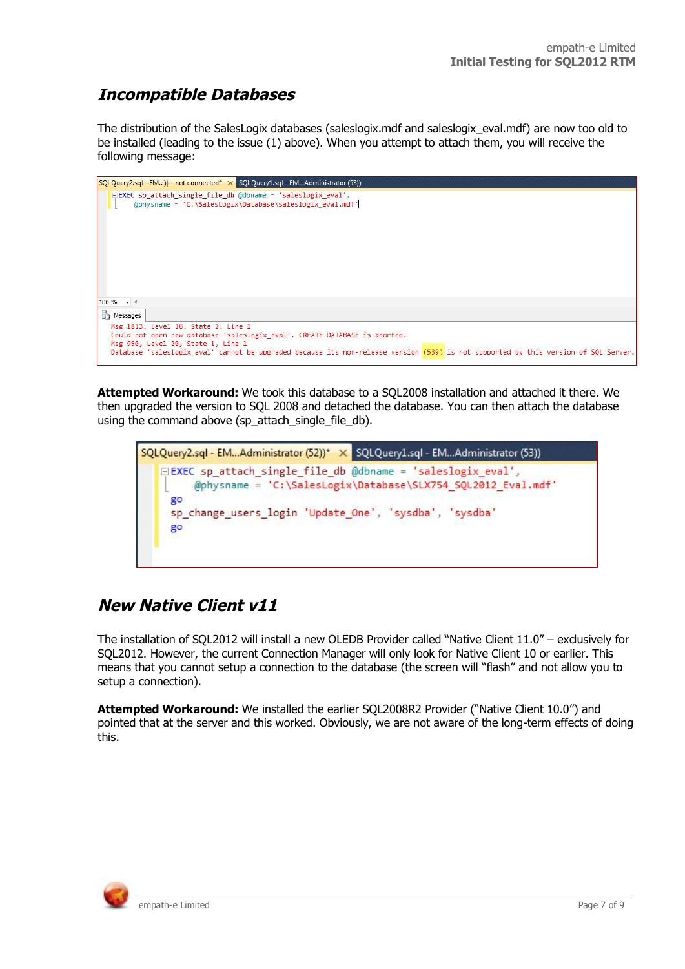#### **Incompatible Databases**

The distribution of the SalesLogix databases (saleslogix.mdf and saleslogix\_eval.mdf) are now too old to be installed (leading to the issue (1) above). When you attempt to attach them, you will receive the following message:



**Attempted Workaround:** We took this database to a SQL2008 installation and attached it there. We then upgraded the version to SQL 2008 and detached the database. You can then attach the database using the command above (sp\_attach\_single\_file\_db).

SQLQuery2.sql - EM...Administrator (52))\* X SQLQuery1.sql - EM...Administrator (53)) **EXEC** sp attach single file db @dbname = 'saleslogix eval', @physname = 'C:\SalesLogix\Database\SLX754\_SQL2012\_Eval.mdf' go sp change users login 'Update One', 'sysdba', 'sysdba' go

#### **New Native Client v11**

The installation of SQL2012 will install a new OLEDB Provider called "Native Client 11.0" – exclusively for SQL2012. However, the current Connection Manager will only look for Native Client 10 or earlier. This means that you cannot setup a connection to the database (the screen will "flash" and not allow you to setup a connection).

**Attempted Workaround:** We installed the earlier SQL2008R2 Provider ("Native Client 10.0") and pointed that at the server and this worked. Obviously, we are not aware of the long-term effects of doing this.

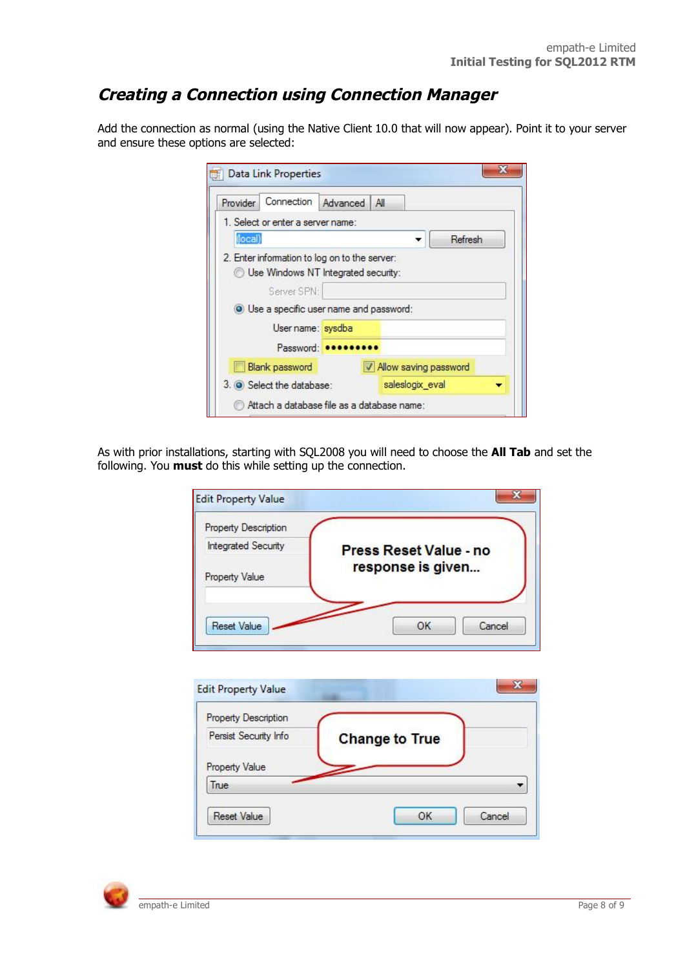#### **Creating a Connection using Connection Manager**

Add the connection as normal (using the Native Client 10.0 that will now appear). Point it to your server and ensure these options are selected:

| 1. Select or enter a server name:<br>Refresh                                                                                       |
|------------------------------------------------------------------------------------------------------------------------------------|
|                                                                                                                                    |
|                                                                                                                                    |
| O Use a specific user name and password:                                                                                           |
|                                                                                                                                    |
|                                                                                                                                    |
| V Allow saving password                                                                                                            |
| saleslogix eval                                                                                                                    |
| 2. Enter information to log on to the server:<br>Use Windows NT Integrated security:<br>Attach a database file as a database name: |

As with prior installations, starting with SQL2008 you will need to choose the **All Tab** and set the following. You **must** do this while setting up the connection.

| Property Description       |                               |
|----------------------------|-------------------------------|
| <b>Integrated Security</b> | <b>Press Reset Value - no</b> |
| Property Value             | response is given             |
|                            |                               |
| <b>Reset Value</b>         | Cancel<br>OK                  |

| <b>Property Description</b> |                       |
|-----------------------------|-----------------------|
| Persist Security Info       | <b>Change to True</b> |
| <b>Property Value</b>       |                       |
| True                        |                       |